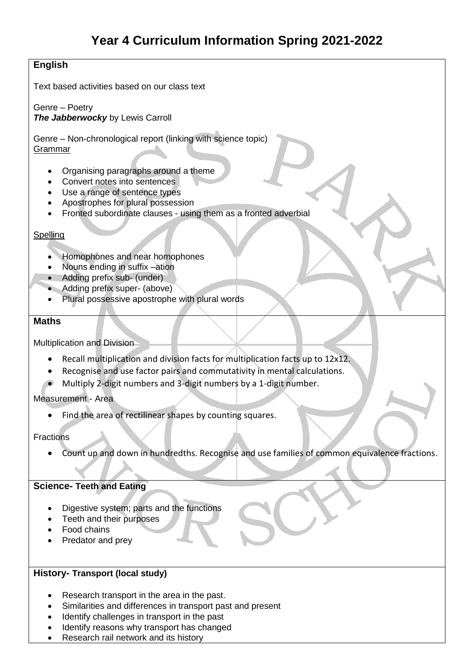## **English**

Text based activities based on our class text

Genre – Poetry *The Jabberwocky* by Lewis Carroll

Genre – Non-chronological report (linking with science topic) Grammar

- Organising paragraphs around a theme
- Convert notes into sentences
- Use a range of sentence types
- Apostrophes for plural possession
- Fronted subordinate clauses using them as a fronted adverbial

### **Spelling**

- Homophones and near homophones
- Nouns ending in suffix –ation
- Adding prefix sub- (under)
- Adding prefix super- (above)
- Plural possessive apostrophe with plural words

#### **Maths**

Multiplication and Division

- Recall multiplication and division facts for multiplication facts up to 12x12.
- Recognise and use factor pairs and commutativity in mental calculations.
- Multiply 2-digit numbers and 3-digit numbers by a 1-digit number.

### Measurement - Area

Find the area of rectilinear shapes by counting squares.

#### **Fractions**

Count up and down in hundredths. Recognise and use families of common equivalence fractions.

### **Science- Teeth and Eating**

- Digestive system; parts and the functions
- Teeth and their purposes
- Food chains
- Predator and prey

### **History- Transport (local study)**

- Research transport in the area in the past.
- Similarities and differences in transport past and present
- Identify challenges in transport in the past
- Identify reasons why transport has changed
- Research rail network and its history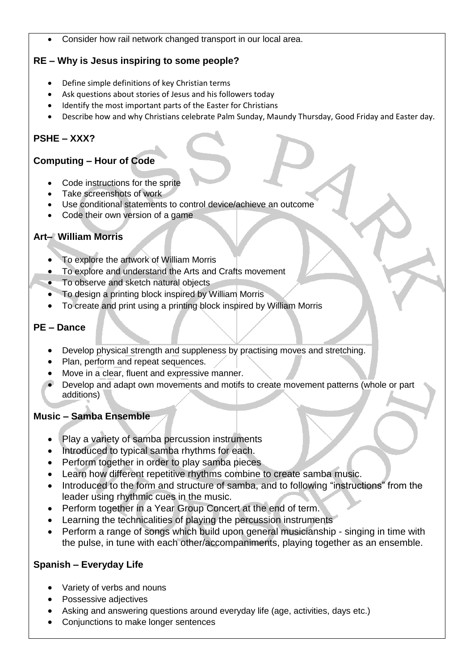Consider how rail network changed transport in our local area.

## **RE – Why is Jesus inspiring to some people?**

- Define simple definitions of key Christian terms
- Ask questions about stories of Jesus and his followers today
- Identify the most important parts of the Easter for Christians
- Describe how and why Christians celebrate Palm Sunday, Maundy Thursday, Good Friday and Easter day.

# **PSHE – XXX?**

## **Computing – Hour of Code**

- Code instructions for the sprite
- Take screenshots of work
- Use conditional statements to control device/achieve an outcome
- Code their own version of a game

## **Art– William Morris**

- To explore the artwork of William Morris
- To explore and understand the Arts and Crafts movement
- To observe and sketch natural objects
- To design a printing block inspired by William Morris
- To create and print using a printing block inspired by William Morris

## **PE – Dance**

- Develop physical strength and suppleness by practising moves and stretching.
- Plan, perform and repeat sequences.
- Move in a clear, fluent and expressive manner.
- Develop and adapt own movements and motifs to create movement patterns (whole or part additions)

## **Music – Samba Ensemble**

- Play a variety of samba percussion instruments
- Introduced to typical samba rhythms for each.
- Perform together in order to play samba pieces
- Learn how different repetitive rhythms combine to create samba music.
- Introduced to the form and structure of samba, and to following "instructions" from the leader using rhythmic cues in the music.
- Perform together in a Year Group Concert at the end of term.
- Learning the technicalities of playing the percussion instruments
- Perform a range of songs which build upon general musicianship singing in time with the pulse, in tune with each other/accompaniments, playing together as an ensemble.

## **Spanish – Everyday Life**

- Variety of verbs and nouns
- Possessive adjectives
- Asking and answering questions around everyday life (age, activities, days etc.)
- Conjunctions to make longer sentences